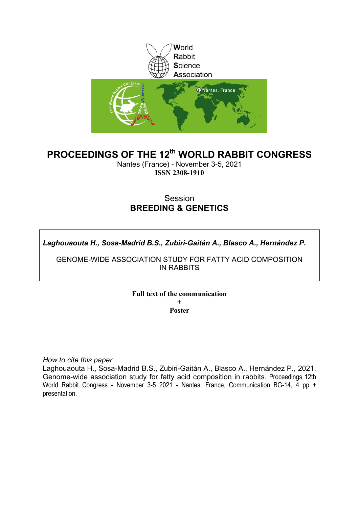

# **PROCEEDINGS OF THE 12th WORLD RABBIT CONGRESS**

Nantes (France) - November 3-5, 2021 **ISSN 2308-1910**

### **Session BREEDING & GENETICS**

*Laghouaouta H., Sosa-Madrid B.S., Zubiri-Gaitán A., Blasco A., Hernández P.*

GENOME-WIDE ASSOCIATION STUDY FOR FATTY ACID COMPOSITION IN RABBITS

**Full text of the communication** 

**+ Poster**

*How to cite this paper*

Laghouaouta H., Sosa-Madrid B.S., Zubiri-Gaitán A., Blasco A., Hernández P., 2021. Genome-wide association study for fatty acid composition in rabbits. Proceedings 12th World Rabbit Congress - November 3-5 2021 - Nantes, France, Communication BG-14, 4 pp + presentation.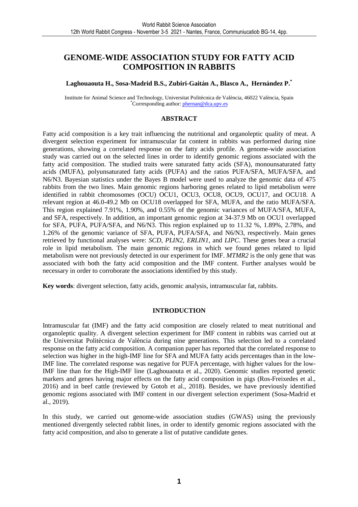### **GENOME-WIDE ASSOCIATION STUDY FOR FATTY ACID COMPOSITION IN RABBITS**

#### **Laghouaouta H., Sosa-Madrid B.S., Zubiri-Gaitán A., Blasco A., Hernández P.\***

Institute for Animal Science and Technology, Universitat Politècnica de València, 46022 València, Spain \*Corresponding author: phernan@dca.upv.es

#### **ABSTRACT**

Fatty acid composition is a key trait influencing the nutritional and organoleptic quality of meat. A divergent selection experiment for intramuscular fat content in rabbits was performed during nine generations, showing a correlated response on the fatty acids profile. A genome-wide association study was carried out on the selected lines in order to identify genomic regions associated with the fatty acid composition. The studied traits were saturated fatty acids (SFA), monounsaturated fatty acids (MUFA), polyunsaturated fatty acids (PUFA) and the ratios PUFA/SFA, MUFA/SFA, and N6/N3. Bayesian statistics under the Bayes B model were used to analyze the genomic data of 475 rabbits from the two lines. Main genomic regions harboring genes related to lipid metabolism were identified in rabbit chromosomes (OCU) OCU1, OCU3, OCU8, OCU9, OCU17, and OCU18. A relevant region at 46.0-49.2 Mb on OCU18 overlapped for SFA, MUFA, and the ratio MUFA/SFA. This region explained 7.91%, 1.90%, and 0.55% of the genomic variances of MUFA/SFA, MUFA, and SFA, respectively. In addition, an important genomic region at 34-37.9 Mb on OCU1 overlapped for SFA, PUFA, PUFA/SFA, and N6/N3. This region explained up to 11.32 %, 1.89%, 2.78%, and 1.26% of the genomic variance of SFA, PUFA, PUFA/SFA, and N6/N3, respectively. Main genes retrieved by functional analyses were: *SCD, PLIN2, ERLIN1*, and *LIPC*. These genes bear a crucial role in lipid metabolism. The main genomic regions in which we found genes related to lipid metabolism were not previously detected in our experiment for IMF. *MTMR2* is the only gene that was associated with both the fatty acid composition and the IMF content. Further analyses would be necessary in order to corroborate the associations identified by this study.

**Key words**: divergent selection, fatty acids, genomic analysis, intramuscular fat, rabbits.

#### **INTRODUCTION**

Intramuscular fat (IMF) and the fatty acid composition are closely related to meat nutritional and organoleptic quality. A divergent selection experiment for IMF content in rabbits was carried out at the Universitat Politècnica de València during nine generations. This selection led to a correlated response on the fatty acid composition. A companion paper has reported that the correlated response to selection was higher in the high-IMF line for SFA and MUFA fatty acids percentages than in the low-IMF line. The correlated response was negative for PUFA percentage, with higher values for the low-IMF line than for the High-IMF line (Laghouaouta et al., 2020). Genomic studies reported genetic markers and genes having major effects on the fatty acid composition in pigs (Ros-Freixedes et al., 2016) and in beef cattle (reviewed by Gotoh et al., 2018). Besides, we have previously identified genomic regions associated with IMF content in our divergent selection experiment (Sosa-Madrid et al., 2019).

In this study, we carried out genome-wide association studies (GWAS) using the previously mentioned divergently selected rabbit lines, in order to identify genomic regions associated with the fatty acid composition, and also to generate a list of putative candidate genes.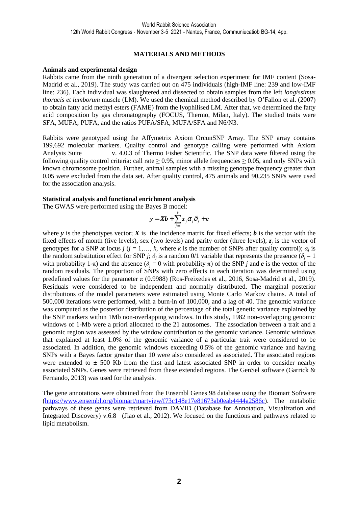### **MATERIALS AND METHODS**

#### **Animals and experimental design**

Rabbits came from the ninth generation of a divergent selection experiment for IMF content (Sosa-Madrid et al., 2019). The study was carried out on 475 individuals (high-IMF line: 239 and low-IMF line: 236). Each individual was slaughtered and dissected to obtain samples from the left *longissimus thoracis et lumborum* muscle (LM). We used the chemical method described by O'Fallon et al. (2007) to obtain fatty acid methyl esters (FAME) from the lyophilised LM. After that, we determined the fatty acid composition by gas chromatography (FOCUS, Thermo, Milan, Italy). The studied traits were SFA, MUFA, PUFA, and the ratios PUFA/SFA, MUFA/SFA and N6/N3.

Rabbits were genotyped using the Affymetrix Axiom OrcunSNP Array. The SNP array contains 199,692 molecular markers. Quality control and genotype calling were performed with Axiom Analysis Suite v. 4.0.3 of Thermo Fisher Scientific. The SNP data were filtered using the following quality control criteria: call rate  $\geq$  0.95, minor allele frequencies  $\geq$  0.05, and only SNPs with known chromosome position. Further, animal samples with a missing genotype frequency greater than 0.05 were excluded from the data set. After quality control, 475 animals and 90,235 SNPs were used for the association analysis.

#### **Statistical analysis and functional enrichment analysis**

The GWAS were performed using the Bayes B model:

$$
\mathbf{y} = \mathbf{X}\mathbf{b} + \sum_{j=1}^{k} z_j \alpha_j \delta_j + \mathbf{e}
$$

where  $\bf{v}$  is the phenotypes vector;  $\bf{X}$  is the incidence matrix for fixed effects;  $\bf{b}$  is the vector with the fixed effects of month (five levels), sex (two levels) and parity order (three levels);  $z_j$  is the vector of genotypes for a SNP at locus *j* ( $j = 1, ..., k$ , where  $k$  is the number of SNPs after quality control);  $\alpha_j$  is the random substitution effect for SNP *j*;  $\delta_j$  is a random 0/1 variable that represents the presence ( $\delta_j = 1$ ) with probability 1- $\pi$ ) and the absence ( $\delta$ <sup>*j*</sup> = 0 with probability  $\pi$ ) of the SNP *j* and *e* is the vector of the random residuals. The proportion of SNPs with zero effects in each iteration was determined using predefined values for the parameter  $\pi$  (0.9988) (Ros-Freixedes et al., 2016, Sosa-Madrid et al., 2019). Residuals were considered to be independent and normally distributed. The marginal posterior distributions of the model parameters were estimated using Monte Carlo Markov chains. A total of 500,000 iterations were performed, with a burn-in of 100,000, and a lag of 40. The genomic variance was computed as the posterior distribution of the percentage of the total genetic variance explained by the SNP markers within 1Mb non-overlapping windows. In this study, 1982 non-overlapping genomic windows of 1-Mb were a priori allocated to the 21 autosomes. The association between a trait and a genomic region was assessed by the window contribution to the genomic variance. Genomic windows that explained at least 1.0% of the genomic variance of a particular trait were considered to be associated. In addition, the genomic windows exceeding 0.5% of the genomic variance and having SNPs with a Bayes factor greater than 10 were also considered as associated. The associated regions were extended to  $\pm$  500 Kb from the first and latest associated SNP in order to consider nearby associated SNPs. Genes were retrieved from these extended regions. The GenSel software (Garrick & Fernando, 2013) was used for the analysis.

The gene annotations were obtained from the Ensembl Genes 98 database using the Biomart Software (https://www.ensembl.org/biomart/martview/f73c148e17e81673ab0eab4444a2586c). The metabolic pathways of these genes were retrieved from DAVID (Database for Annotation, Visualization and Integrated Discovery) v.6.8 (Jiao et al., 2012). We focused on the functions and pathways related to lipid metabolism.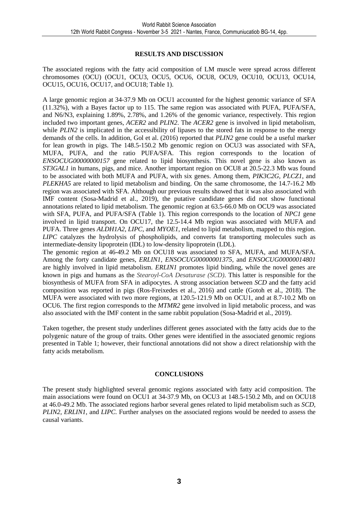### **RESULTS AND DISCUSSION**

The associated regions with the fatty acid composition of LM muscle were spread across different chromosomes (OCU) (OCU1, OCU3, OCU5, OCU6, OCU8, OCU9, OCU10, OCU13, OCU14, OCU15, OCU16, OCU17, and OCU18; Table 1).

A large genomic region at 34-37.9 Mb on OCU1 accounted for the highest genomic variance of SFA (11.32%), with a Bayes factor up to 115. The same region was associated with PUFA, PUFA/SFA, and N6/N3, explaining 1.89%, 2.78%, and 1.26% of the genomic variance, respectively. This region included two important genes, *ACER2* and *PLIN2*. The *ACER2* gene is involved in lipid metabolism, while *PLIN2* is implicated in the accessibility of lipases to the stored fats in response to the energy demands of the cells. In addition, Gol et al. (2016) reported that *PLIN2* gene could be a useful marker for lean growth in pigs. The 148.5-150.2 Mb genomic region on OCU3 was associated with SFA, MUFA, PUFA, and the ratio PUFA/SFA. This region corresponds to the location of *ENSOCUG00000000157* gene related to lipid biosynthesis. This novel gene is also known as *ST3GAL1* in humans, pigs, and mice. Another important region on OCU8 at 20.5-22.3 Mb was found to be associated with both MUFA and PUFA, with six genes. Among them, *PIK3C2G, PLCZ1*, and *PLEKHA5* are related to lipid metabolism and binding. On the same chromosome, the 14.7-16.2 Mb region was associated with SFA. Although our previous results showed that it was also associated with IMF content (Sosa-Madrid et al., 2019), the putative candidate genes did not show functional annotations related to lipid metabolism. The genomic region at 63.5-66.0 Mb on OCU9 was associated with SFA, PUFA, and PUFA/SFA (Table 1). This region corresponds to the location of *NPC1* gene involved in lipid transport. On OCU17, the 12.5-14.4 Mb region was associated with MUFA and PUFA. Three genes *ALDH1A2*, *LIPC*, and *MYOE1*, related to lipid metabolism, mapped to this region. *LIPC* catalyzes the hydrolysis of phospholipids, and converts fat transporting molecules such as intermediate-density lipoprotein (IDL) to low-density lipoprotein (LDL).

The genomic region at 46-49.2 Mb on OCU18 was associated to SFA, MUFA, and MUFA/SFA. Among the forty candidate genes, *ERLIN1*, *ENSOCUG00000001375*, and *ENSOCUG00000014801* are highly involved in lipid metabolism. *ERLIN1* promotes lipid binding, while the novel genes are known in pigs and humans as the *Stearoyl-CoA Desaturase (SCD)*. This latter is responsible for the biosynthesis of MUFA from SFA in adipocytes. A strong association between *SCD* and the fatty acid composition was reported in pigs (Ros-Freixedes et al., 2016) and cattle (Gotoh et al., 2018). The MUFA were associated with two more regions, at 120.5-121.9 Mb on OCU1, and at 8.7-10.2 Mb on OCU6. The first region corresponds to the *MTMR2* gene involved in lipid metabolic process, and was also associated with the IMF content in the same rabbit population (Sosa-Madrid et al., 2019).

Taken together, the present study underlines different genes associated with the fatty acids due to the polygenic nature of the group of traits. Other genes were identified in the associated genomic regions presented in Table 1; however, their functional annotations did not show a direct relationship with the fatty acids metabolism.

#### **CONCLUSIONS**

The present study highlighted several genomic regions associated with fatty acid composition. The main associations were found on OCU1 at 34-37.9 Mb, on OCU3 at 148.5-150.2 Mb, and on OCU18 at 46.0-49.2 Mb. The associated regions harbor several genes related to lipid metabolism such as *SCD, PLIN2, ERLIN1*, and *LIPC*. Further analyses on the associated regions would be needed to assess the causal variants.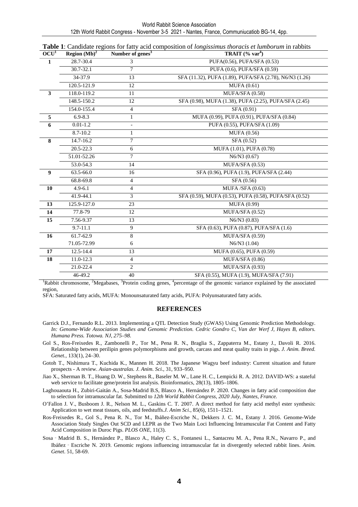| World Rabbit Science Association                                                            |  |  |  |  |  |  |  |
|---------------------------------------------------------------------------------------------|--|--|--|--|--|--|--|
| 12th World Rabbit Congress - November 3-5 2021 - Nantes, France, Communiucatiob BG-14, 4pp. |  |  |  |  |  |  |  |

| OCU <sup>1</sup> | Region $(Mb)^2$ | Number of genes <sup>3</sup> | TRAIT $(*)$ var <sup>4</sup> )                          |  |  |  |
|------------------|-----------------|------------------------------|---------------------------------------------------------|--|--|--|
| 1                | $28.7 - 30.4$   | 3                            | PUFA(0.56), PUFA/SFA (0.53)                             |  |  |  |
|                  | 30.7-32.1       | 7                            | PUFA (0.6), PUFA/SFA (0.59)                             |  |  |  |
|                  | 34-37.9         | 13                           | SFA (11.32), PUFA (1.89), PUFA/SFA (2.78), N6/N3 (1.26) |  |  |  |
|                  | 120.5-121.9     | 12                           | MUFA(0.61)                                              |  |  |  |
| $\mathbf{3}$     | 118.0-119.2     | 11                           | MUFA/SFA (0.58)                                         |  |  |  |
|                  | 148.5-150.2     | $\overline{12}$              | SFA (0.98), MUFA (1.38), PUFA (2.25), PUFA/SFA (2.45)   |  |  |  |
|                  | 154.0-155.4     | $\overline{4}$               | SFA (0.91)                                              |  |  |  |
| 5                | $6.9 - 8.3$     | $\mathbf{1}$                 | MUFA (0.99), PUFA (0.91), PUFA/SFA (0.84)               |  |  |  |
| 6                | $0.01 - 1.2$    |                              | PUFA (0.55), PUFA/SFA (1.09)                            |  |  |  |
|                  | 8.7-10.2        | 1                            | MUFA (0.56)                                             |  |  |  |
| 8                | 14.7-16.2       | $7\phantom{.0}$              | SFA (0.52)                                              |  |  |  |
|                  | 20.5-22.3       | 6                            | MUFA (1.01), PUFA (0.78)                                |  |  |  |
|                  | 51.01-52.26     | 7                            | N6/N3 (0.67)                                            |  |  |  |
|                  | 53.0-54.3       | 14                           | MUFA/SFA (0.53)                                         |  |  |  |
| 9                | 63.5-66.0       | 16                           | SFA (0.96), PUFA (1.9), PUFA/SFA (2.44)                 |  |  |  |
|                  | 68.8-69.8       | $\overline{4}$               | SFA (0.56)                                              |  |  |  |
| 10               | $4.9 - 6.1$     | 4                            | MUFA/SFA $(0.63)$                                       |  |  |  |
|                  | 41.9-44.1       | 3                            | SFA (0.59), MUFA (0.53), PUFA (0.58), PUFA/SFA (0.52)   |  |  |  |
| 13               | 125.9-127.0     | 23                           | <b>MUFA (0.99)</b>                                      |  |  |  |
| 14               | 77.8-79         | 12                           | MUFA/SFA (0.52)                                         |  |  |  |
| 15               | 7.56-9.37       | 13                           | N6/N3(0.83)                                             |  |  |  |
|                  | 9.7-11.1        | 9                            | SFA (0.63), PUFA (0.87), PUFA/SFA (1.6)                 |  |  |  |
| 16               | 61.7-62.9       | $\,8\,$                      | MUFA/SFA (0.59)                                         |  |  |  |
|                  | 71.05-72.99     | 6                            | $N6/N3$ (1.04)                                          |  |  |  |
| $17\,$           | 12.5-14.4       | 13                           | MUFA (0.65), PUFA (0.59)                                |  |  |  |
| 18               | 11.0-12.3       | $\overline{4}$               | MUFA/SFA (0.86)                                         |  |  |  |
|                  | 21.0-22.4       | $\mathbf{2}$                 | MUFA/SFA (0.93)                                         |  |  |  |
|                  | 46-49.2         | 40                           | SFA (0.55), MUFA (1.9), MUFA/SFA (7.91)                 |  |  |  |

**Table 1**: Candidate regions for fatty acid composition of *longissimus thoracis et lumborum* in rabbits

<sup>1</sup>Rabbit chromosome, <sup>2</sup>Megabases, <sup>3</sup>Protein coding genes, <sup>4</sup>percentage of the genomic variance explained by the associated region,

SFA: Saturated fatty acids, MUFA: Monounsaturated fatty acids, PUFA: Polyunsaturated fatty acids.

#### **REFERENCES**

- Garrick D.J., Fernando R.L. 2013. Implementing a QTL Detection Study (GWAS) Using Genomic Prediction Methodology. *In: Genome-Wide Association Studies and Genomic Prediction. Cedric Gondro C, Van der Werf J, Hayes B, editors. Humana Press. Totowa. NJ, 275–98.*
- Gol S., Ros-Freixedes R., Zambonelli P., Tor M., Pena R. N., Braglia S., Zappaterra M., Estany J., Davoli R. 2016. Relationship between perilipin genes polymorphisms and growth, carcass and meat quality traits in pigs. *J. Anim. Breed. Genet.,* 133(1), 24–30.
- Gotoh T., Nishimura T., Kuchida K., Mannen H. 2018. The Japanese Wagyu beef industry: Current situation and future prospects - A review. *Asian-australas. J. Anim. Sci.,* 31, 933–950.
- Jiao X., Sherman B. T., Huang D. W., Stephens R., Baseler M. W., Lane H. C., Lempicki R. A. 2012. DAVID-WS: a stateful web service to facilitate gene/protein list analysis. Bioinformatics, 28(13), 1805–1806.
- Laghouaouta H., Zubiri-Gaitán A., Sosa-Madrid B.S, Blasco A., Hernández P. 2020. Changes in fatty acid composition due to selection for intramuscular fat. Submitted to *12th World Rabbit Congress, 2020 July, Nantes, France.*
- O'Fallon J. V., Busboom J. R., Nelson M. L., Gaskins C. T. 2007. A direct method for fatty acid methyl ester synthesis: Application to wet meat tissues, oils, and feedstuffs.*J. Anim Sci*., 85(6), 1511–1521.
- Ros-Freixedes R., Gol S., Pena R. N., Tor M., Ibáñez-Escriche N., Dekkers J. C. M., Estany J. 2016. Genome-Wide Association Study Singles Out SCD and LEPR as the Two Main Loci Influencing Intramuscular Fat Content and Fatty Acid Composition in Duroc Pigs. *PLOS ONE*, 11(3).
- Sosa Madrid B. S., Hernández P., Blasco A., Haley C. S., Fontanesi L., Santacreu M. A., Pena R.N., Navarro P., and Ibáñez‐Escriche N. 2019. Genomic regions influencing intramuscular fat in divergently selected rabbit lines. *Anim. Genet*. 51, 58-69.